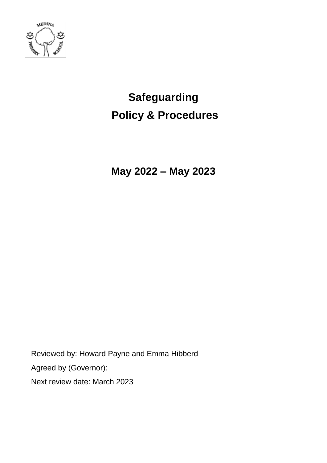

# **Safeguarding Policy & Procedures**

**May 2022 – May 2023**

Reviewed by: Howard Payne and Emma Hibberd Agreed by (Governor): Next review date: March 2023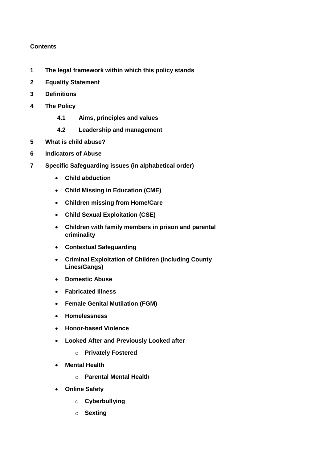## **Contents**

- **1 The legal framework within which this policy stands**
- **2 Equality Statement**
- **3 Definitions**
- **4 The Policy**
	- **4.1 Aims, principles and values**
	- **4.2 Leadership and management**
- **5 What is child abuse?**
- **6 Indicators of Abuse**
- **7 Specific Safeguarding issues (in alphabetical order)**
	- **Child abduction**
	- **Child Missing in Education (CME)**
	- **Children missing from Home/Care**
	- **Child Sexual Exploitation (CSE)**
	- **Children with family members in prison and parental criminality**
	- **Contextual Safeguarding**
	- **Criminal Exploitation of Children (including County Lines/Gangs)**
	- **Domestic Abuse**
	- **Fabricated Illness**
	- **Female Genital Mutilation (FGM)**
	- **Homelessness**
	- **Honor-based Violence**
	- **Looked After and Previously Looked after**
		- o **Privately Fostered**
	- **Mental Health**
		- o **Parental Mental Health**
	- **Online Safety**
		- o **Cyberbullying**
		- o **Sexting**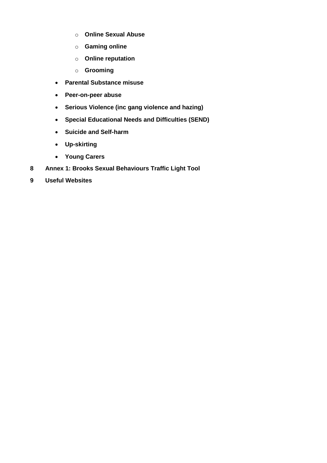- o **Online Sexual Abuse**
- o **Gaming online**
- o **Online reputation**
- o **Grooming**
- **Parental Substance misuse**
- **Peer-on-peer abuse**
- **Serious Violence (inc gang violence and hazing)**
- **Special Educational Needs and Difficulties (SEND)**
- **Suicide and Self-harm**
- **Up-skirting**
- **Young Carers**
- **8 Annex 1: Brooks Sexual Behaviours Traffic Light Tool**
- **9 Useful Websites**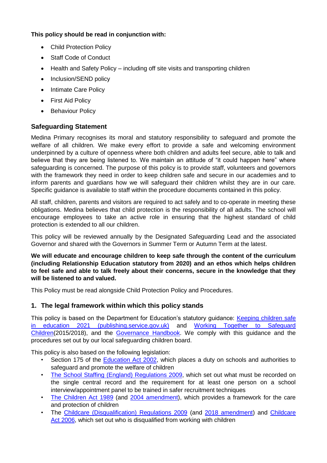## **This policy should be read in conjunction with:**

- Child Protection Policy
- Staff Code of Conduct
- Health and Safety Policy including off site visits and transporting children
- Inclusion/SEND policy
- Intimate Care Policy
- First Aid Policy
- Behaviour Policy

## **Safeguarding Statement**

Medina Primary recognises its moral and statutory responsibility to safeguard and promote the welfare of all children. We make every effort to provide a safe and welcoming environment underpinned by a culture of openness where both children and adults feel secure, able to talk and believe that they are being listened to. We maintain an attitude of "it could happen here" where safeguarding is concerned. The purpose of this policy is to provide staff, volunteers and governors with the framework they need in order to keep children safe and secure in our academies and to inform parents and guardians how we will safeguard their children whilst they are in our care. Specific guidance is available to staff within the procedure documents contained in this policy.

All staff, children, parents and visitors are required to act safely and to co-operate in meeting these obligations. Medina believes that child protection is the responsibility of all adults. The school will encourage employees to take an active role in ensuring that the highest standard of child protection is extended to all our children.

This policy will be reviewed annually by the Designated Safeguarding Lead and the associated Governor and shared with the Governors in Summer Term or Autumn Term at the latest.

**We will educate and encourage children to keep safe through the content of the curriculum (including Relationship Education statutory from 2020) and an ethos which helps children to feel safe and able to talk freely about their concerns, secure in the knowledge that they will be listened to and valued.** 

This Policy must be read alongside Child Protection Policy and Procedures.

## **1. The legal framework within which this policy stands**

This policy is based on the Department for Education's statutory guidance: [Keeping children safe](https://assets.publishing.service.gov.uk/government/uploads/system/uploads/attachment_data/file/1021914/KCSIE_2021_September_guidance.pdf)  [in education 2021 \(publishing.service.gov.uk\)](https://assets.publishing.service.gov.uk/government/uploads/system/uploads/attachment_data/file/1021914/KCSIE_2021_September_guidance.pdf) and [Working Together to Safeguard](https://www.gov.uk/government/publications/working-together-to-safeguard-children--2)  [Children\(](https://www.gov.uk/government/publications/working-together-to-safeguard-children--2)2015/2018), and the [Governance Handbook.](https://www.gov.uk/government/publications/governance-handbook) We comply with this guidance and the procedures set out by our local safeguarding children board.

This policy is also based on the following legislation:

- Section 175 of the [Education Act 2002,](http://www.legislation.gov.uk/ukpga/2002/32/section/175) which places a duty on schools and authorities to safeguard and promote the welfare of children
- [The School Staffing \(England\) Regulations 2009,](http://www.legislation.gov.uk/uksi/2009/2680/contents/made) which set out what must be recorded on the single central record and the requirement for at least one person on a school interview/appointment panel to be trained in safer recruitment techniques
- [The Children Act 1989](http://www.legislation.gov.uk/ukpga/1989/41) (and [2004 amendment\)](http://www.legislation.gov.uk/ukpga/2004/31/contents), which provides a framework for the care and protection of children
- The [Childcare \(Disqualification\) Regulations 2009](http://www.legislation.gov.uk/uksi/2009/1547/pdfs/uksi_20091547_en.pdf) (and [2018 amendment\)](http://www.legislation.gov.uk/uksi/2018/794/contents/made) and [Childcare](http://www.legislation.gov.uk/ukpga/2006/21/contents)  [Act 2006,](http://www.legislation.gov.uk/ukpga/2006/21/contents) which set out who is disqualified from working with children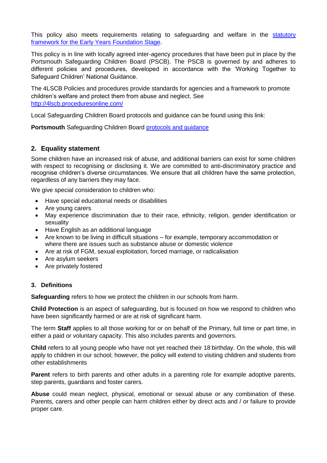This policy also meets requirements relating to safeguarding and welfare in the statutory [framework for the Early Years Foundation Stage.](https://www.gov.uk/government/publications/early-years-foundation-stage-framework--2)

This policy is in line with locally agreed inter-agency procedures that have been put in place by the Portsmouth Safeguarding Children Board (PSCB). The PSCB is governed by and adheres to different policies and procedures, developed in accordance with the 'Working Together to Safeguard Children' National Guidance.

The 4LSCB Policies and procedures provide standards for agencies and a framework to promote children's welfare and protect them from abuse and neglect. See <http://4lscb.proceduresonline.com/>

Local Safeguarding Children Board protocols and guidance can be found using this link:

**Portsmouth** Safeguarding Children Board [protocols and guidance](http://www.portsmouthscb.org.uk/professionals/resources-for-frontline-professional/)

## **2. Equality statement**

Some children have an increased risk of abuse, and additional barriers can exist for some children with respect to recognising or disclosing it. We are committed to anti-discriminatory practice and recognise children's diverse circumstances. We ensure that all children have the same protection, regardless of any barriers they may face.

We give special consideration to children who:

- Have special educational needs or disabilities
- Are young carers
- May experience discrimination due to their race, ethnicity, religion, gender identification or sexuality
- Have English as an additional language
- Are known to be living in difficult situations for example, temporary accommodation or where there are issues such as substance abuse or domestic violence
- Are at risk of FGM, sexual exploitation, forced marriage, or radicalisation
- Are asylum seekers
- Are privately fostered

#### **3. Definitions**

**Safeguarding** refers to how we protect the children in our schools from harm.

**Child Protection** is an aspect of safeguarding, but is focused on how we respond to children who have been significantly harmed or are at risk of significant harm.

The term **Staff** applies to all those working for or on behalf of the Primary, full time or part time, in either a paid or voluntary capacity. This also includes parents and governors.

**Child** refers to all young people who have not yet reached their 18 birthday. On the whole, this will apply to children in our school; however, the policy will extend to visiting children and students from other establishments

**Parent** refers to birth parents and other adults in a parenting role for example adoptive parents, step parents, guardians and foster carers.

**Abuse** could mean neglect, physical, emotional or sexual abuse or any combination of these. Parents, carers and other people can harm children either by direct acts and / or failure to provide proper care.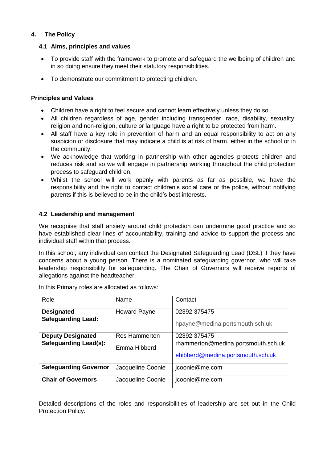## **4. The Policy**

## **4.1 Aims, principles and values**

- To provide staff with the framework to promote and safeguard the wellbeing of children and in so doing ensure they meet their statutory responsibilities.
- To demonstrate our commitment to protecting children.

## **Principles and Values**

- Children have a right to feel secure and cannot learn effectively unless they do so.
- All children regardless of age, gender including transgender, race, disability, sexuality, religion and non-religion, culture or language have a right to be protected from harm.
- All staff have a key role in prevention of harm and an equal responsibility to act on any suspicion or disclosure that may indicate a child is at risk of harm, either in the school or in the community.
- We acknowledge that working in partnership with other agencies protects children and reduces risk and so we will engage in partnership working throughout the child protection process to safeguard children.
- Whilst the school will work openly with parents as far as possible, we have the responsibility and the right to contact children's social care or the police, without notifying parents if this is believed to be in the child's best interests.

## **4.2 Leadership and management**

We recognise that staff anxiety around child protection can undermine good practice and so have established clear lines of accountability, training and advice to support the process and individual staff within that process.

In this school, any individual can contact the Designated Safeguarding Lead (DSL) if they have concerns about a young person. There is a nominated safeguarding governor, who will take leadership responsibility for safeguarding. The Chair of Governors will receive reports of allegations against the headteacher.

| Role                                                     | Name                          | Contact                                                                                  |
|----------------------------------------------------------|-------------------------------|------------------------------------------------------------------------------------------|
| <b>Designated</b><br><b>Safeguarding Lead:</b>           | <b>Howard Payne</b>           | 02392 375475<br>hpayne@medina.portsmouth.sch.uk                                          |
| <b>Deputy Designated</b><br><b>Safeguarding Lead(s):</b> | Ros Hammerton<br>Emma Hibberd | 02392 375475<br>rhammerton@medina.portsmouth.sch.uk<br>ehibberd@medina.portsmouth.sch.uk |
| <b>Safeguarding Governor</b>                             | Jacqueline Coonie             | jcoonie@me.com                                                                           |
| <b>Chair of Governors</b>                                | Jacqueline Coonie             | jcoonie@me.com                                                                           |

In this Primary roles are allocated as follows:

Detailed descriptions of the roles and responsibilities of leadership are set out in the Child Protection Policy.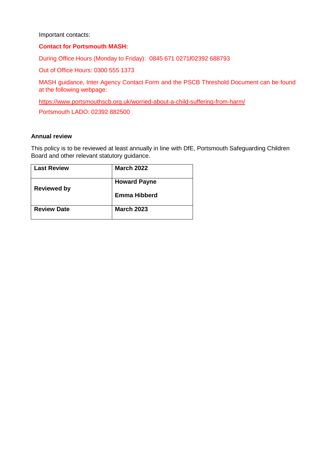Important contacts:

#### **Contact for Portsmouth MASH:**

During Office Hours (Monday to Friday): 0845 671 0271**/**02392 688793

Out of Office Hours: 0300 555 1373

MASH guidance, Inter Agency Contact Form and the PSCB Threshold Document can be found at the following webpage:

<https://www.portsmouthscb.org.uk/worried-about-a-child-suffering-from-harm/>

Portsmouth LADO: 02392 882500

#### **Annual review**

This policy is to be reviewed at least annually in line with DfE, Portsmouth Safeguarding Children Board and other relevant statutory guidance.

| <b>Last Review</b> | <b>March 2022</b>   |
|--------------------|---------------------|
| <b>Reviewed by</b> | <b>Howard Payne</b> |
|                    | <b>Emma Hibberd</b> |
| <b>Review Date</b> | <b>March 2023</b>   |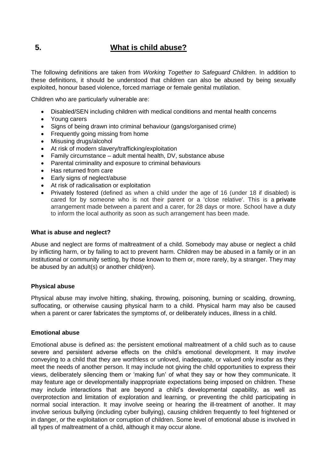# **5.****What is child abuse?**

The following definitions are taken from *Working Together to Safeguard Children*. In addition to these definitions, it should be understood that children can also be abused by being sexually exploited, honour based violence, forced marriage or female genital mutilation.

Children who are particularly vulnerable are:

- Disabled/SEN including children with medical conditions and mental health concerns
- Young carers
- Signs of being drawn into criminal behaviour (gangs/organised crime)
- Frequently going missing from home
- Misusing drugs/alcohol
- At risk of modern slavery/trafficking/exploitation
- Family circumstance adult mental health, DV, substance abuse
- Parental criminality and exposure to criminal behaviours
- Has returned from care
- Early signs of neglect/abuse
- At risk of radicalisation or exploitation
- Privately fostered (defined as when a child under the age of 16 (under 18 if disabled) is cared for by someone who is not their parent or a 'close relative'. This is a **private**  arrangement made between a parent and a carer, for 28 days or more. School have a duty to inform the local authority as soon as such arrangement has been made.

#### **What is abuse and neglect?**

Abuse and neglect are forms of maltreatment of a child. Somebody may abuse or neglect a child by inflicting harm, or by failing to act to prevent harm. Children may be abused in a family or in an institutional or community setting, by those known to them or, more rarely, by a stranger. They may be abused by an adult(s) or another child(ren).

#### **Physical abuse**

Physical abuse may involve hitting, shaking, throwing, poisoning, burning or scalding, drowning, suffocating, or otherwise causing physical harm to a child. Physical harm may also be caused when a parent or carer fabricates the symptoms of, or deliberately induces, illness in a child.

#### **Emotional abuse**

Emotional abuse is defined as: the persistent emotional maltreatment of a child such as to cause severe and persistent adverse effects on the child's emotional development. It may involve conveying to a child that they are worthless or unloved, inadequate, or valued only insofar as they meet the needs of another person. It may include not giving the child opportunities to express their views, deliberately silencing them or 'making fun' of what they say or how they communicate. It may feature age or developmentally inappropriate expectations being imposed on children. These may include interactions that are beyond a child's developmental capability, as well as overprotection and limitation of exploration and learning, or preventing the child participating in normal social interaction. It may involve seeing or hearing the ill-treatment of another. It may involve serious bullying (including cyber bullying), causing children frequently to feel frightened or in danger, or the exploitation or corruption of children. Some level of emotional abuse is involved in all types of maltreatment of a child, although it may occur alone.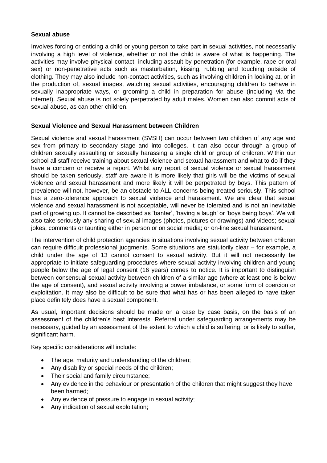#### **Sexual abuse**

Involves forcing or enticing a child or young person to take part in sexual activities, not necessarily involving a high level of violence, whether or not the child is aware of what is happening. The activities may involve physical contact, including assault by penetration (for example, rape or oral sex) or non-penetrative acts such as masturbation, kissing, rubbing and touching outside of clothing. They may also include non-contact activities, such as involving children in looking at, or in the production of, sexual images, watching sexual activities, encouraging children to behave in sexually inappropriate ways, or grooming a child in preparation for abuse (including via the internet). Sexual abuse is not solely perpetrated by adult males. Women can also commit acts of sexual abuse, as can other children.

#### **Sexual Violence and Sexual Harassment between Children**

Sexual violence and sexual harassment (SVSH) can occur between two children of any age and sex from primary to secondary stage and into colleges. It can also occur through a group of children sexually assaulting or sexually harassing a single child or group of children. Within our school all staff receive training about sexual violence and sexual harassment and what to do if they have a concern or receive a report. Whilst any report of sexual violence or sexual harassment should be taken seriously, staff are aware it is more likely that girls will be the victims of sexual violence and sexual harassment and more likely it will be perpetrated by boys. This pattern of prevalence will not, however, be an obstacle to ALL concerns being treated seriously. This school has a zero-tolerance approach to sexual violence and harassment. We are clear that sexual violence and sexual harassment is not acceptable, will never be tolerated and is not an inevitable part of growing up. It cannot be described as 'banter', 'having a laugh' or 'boys being boys'. We will also take seriously any sharing of sexual images (photos, pictures or drawings) and videos; sexual jokes, comments or taunting either in person or on social media; or on-line sexual harassment.

The intervention of child protection agencies in situations involving sexual activity between children can require difficult professional judgments. Some situations are statutorily clear – for example, a child under the age of 13 cannot consent to sexual activity. But it will not necessarily be appropriate to initiate safeguarding procedures where sexual activity involving children and young people below the age of legal consent (16 years) comes to notice. It is important to distinguish between consensual sexual activity between children of a similar age (where at least one is below the age of consent), and sexual activity involving a power imbalance, or some form of coercion or exploitation. It may also be difficult to be sure that what has or has been alleged to have taken place definitely does have a sexual component.

As usual, important decisions should be made on a case by case basis, on the basis of an assessment of the children's best interests. Referral under safeguarding arrangements may be necessary, guided by an assessment of the extent to which a child is suffering, or is likely to suffer, significant harm.

Key specific considerations will include:

- The age, maturity and understanding of the children;
- Any disability or special needs of the children;
- Their social and family circumstance;
- Any evidence in the behaviour or presentation of the children that might suggest they have been harmed;
- Any evidence of pressure to engage in sexual activity;
- Any indication of sexual exploitation;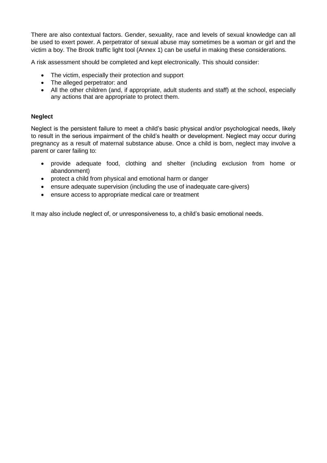There are also contextual factors. Gender, sexuality, race and levels of sexual knowledge can all be used to exert power. A perpetrator of sexual abuse may sometimes be a woman or girl and the victim a boy. The Brook traffic light tool (Annex 1) can be useful in making these considerations.

A risk assessment should be completed and kept electronically. This should consider:

- The victim, especially their protection and support
- The alleged perpetrator: and
- All the other children (and, if appropriate, adult students and staff) at the school, especially any actions that are appropriate to protect them.

## **Neglect**

Neglect is the persistent failure to meet a child's basic physical and/or psychological needs, likely to result in the serious impairment of the child's health or development. Neglect may occur during pregnancy as a result of maternal substance abuse. Once a child is born, neglect may involve a parent or carer failing to:

- provide adequate food, clothing and shelter (including exclusion from home or abandonment)
- protect a child from physical and emotional harm or danger
- ensure adequate supervision (including the use of inadequate care-givers)
- ensure access to appropriate medical care or treatment

It may also include neglect of, or unresponsiveness to, a child's basic emotional needs.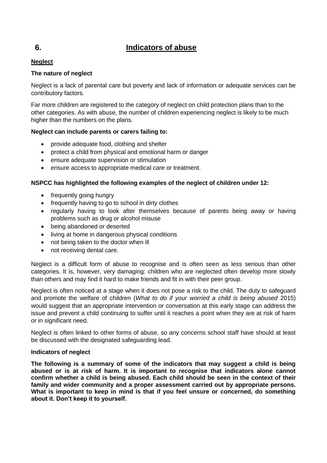## **6. Indicators of abuse**

## **Neglect**

## **The nature of neglect**

Neglect is a lack of parental care but poverty and lack of information or adequate services can be contributory factors.

Far more children are registered to the category of neglect on child protection plans than to the other categories. As with abuse, the number of children experiencing neglect is likely to be much higher than the numbers on the plans.

## **Neglect can include parents or carers failing to:**

- provide adequate food, clothing and shelter
- protect a child from physical and emotional harm or danger
- ensure adequate supervision or stimulation
- ensure access to appropriate medical care or treatment.

## **NSPCC has highlighted the following examples of the neglect of children under 12:**

- frequently going hungry
- frequently having to go to school in dirty clothes
- regularly having to look after themselves because of parents being away or having problems such as drug or alcohol misuse
- being abandoned or deserted
- living at home in dangerous physical conditions
- not being taken to the doctor when ill
- not receiving dental care.

Neglect is a difficult form of abuse to recognise and is often seen as less serious than other categories. It is, however, very damaging: children who are neglected often develop more slowly than others and may find it hard to make friends and fit in with their peer group.

Neglect is often noticed at a stage when it does not pose a risk to the child. The duty to safeguard and promote the welfare of children (*What to do if your worried a child is being abused* 2015) would suggest that an appropriate intervention or conversation at this early stage can address the issue and prevent a child continuing to suffer until it reaches a point when they are at risk of harm or in significant need.

Neglect is often linked to other forms of abuse, so any concerns school staff have should at least be discussed with the designated safeguarding lead.

#### **Indicators of neglect**

**The following is a summary of some of the indicators that may suggest a child is being abused or is at risk of harm. It is important to recognise that indicators alone cannot confirm whether a child is being abused. Each child should be seen in the context of their family and wider community and a proper assessment carried out by appropriate persons. What is important to keep in mind is that if you feel unsure or concerned, do something about it. Don't keep it to yourself.**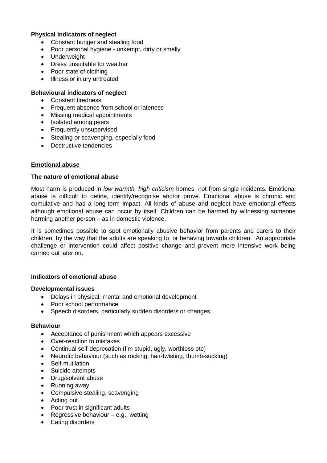#### **Physical indicators of neglect**

- Constant hunger and stealing food
- Poor personal hygiene unkempt, dirty or smelly
- Underweight
- Dress unsuitable for weather
- Poor state of clothing
- Illness or injury untreated

## **Behavioural indicators of neglect**

- Constant tiredness
- Frequent absence from school or lateness
- Missing medical appointments
- Isolated among peers
- Frequently unsupervised
- Stealing or scavenging, especially food
- Destructive tendencies

#### **Emotional abuse**

#### **The nature of emotional abuse**

Most harm is produced in *low warmth, high criticism* homes, not from single incidents. Emotional abuse is difficult to define, identify/recognise and/or prove. Emotional abuse is chronic and cumulative and has a long-term impact. All kinds of abuse and neglect have emotional effects although emotional abuse can occur by itself. Children can be harmed by witnessing someone harming another person – as in domestic violence.

It is sometimes possible to spot emotionally abusive behavior from parents and carers to their children, by the way that the adults are speaking to, or behaving towards children. An appropriate challenge or intervention could affect positive change and prevent more intensive work being carried out later on.

#### **Indicators of emotional abuse**

#### **Developmental issues**

- Delays in physical, mental and emotional development
- Poor school performance
- Speech disorders, particularly sudden disorders or changes.

#### **Behaviour**

- Acceptance of punishment which appears excessive
- Over-reaction to mistakes
- Continual self-deprecation (I'm stupid, ugly, worthless etc)
- Neurotic behaviour (such as rocking, hair-twisting, thumb-sucking)
- Self-mutilation
- Suicide attempts
- Drug/solvent abuse
- Running away
- Compulsive stealing, scavenging
- Acting out
- Poor trust in significant adults
- **•** Regressive behaviour  $-$  e.g., wetting
- Eating disorders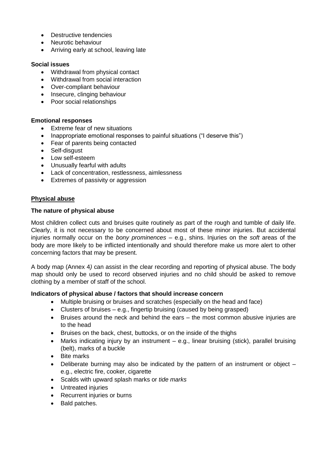- Destructive tendencies
- Neurotic behaviour
- Arriving early at school, leaving late

#### **Social issues**

- Withdrawal from physical contact
- Withdrawal from social interaction
- Over-compliant behaviour
- Insecure, clinging behaviour
- Poor social relationships

#### **Emotional responses**

- Extreme fear of new situations
- Inappropriate emotional responses to painful situations ("I deserve this")
- Fear of parents being contacted
- Self-disgust
- Low self-esteem
- Unusually fearful with adults
- Lack of concentration, restlessness, aimlessness
- Extremes of passivity or aggression

#### **Physical abuse**

#### **The nature of physical abuse**

Most children collect cuts and bruises quite routinely as part of the rough and tumble of daily life. Clearly, it is not necessary to be concerned about most of these minor injuries. But accidental injuries normally occur on the *bony prominences* – e.g., shins. Injuries on the *soft* areas of the body are more likely to be inflicted intentionally and should therefore make us more alert to other concerning factors that may be present.

A body map (Annex 4*)* can assist in the clear recording and reporting of physical abuse. The body map should only be used to record observed injuries and no child should be asked to remove clothing by a member of staff of the school.

#### **Indicators of physical abuse / factors that should increase concern**

- Multiple bruising or bruises and scratches (especially on the head and face)
- Clusters of bruises  $-$  e.g., fingertip bruising (caused by being grasped)
- Bruises around the neck and behind the ears the most common abusive injuries are to the head
- Bruises on the back, chest, buttocks, or on the inside of the thighs
- Marks indicating injury by an instrument  $-$  e.g., linear bruising (stick), parallel bruising (belt), marks of a buckle
- Bite marks
- Deliberate burning may also be indicated by the pattern of an instrument or object e.g., electric fire, cooker, cigarette
- Scalds with upward splash marks or *tide marks*
- Untreated injuries
- Recurrent injuries or burns
- Bald patches.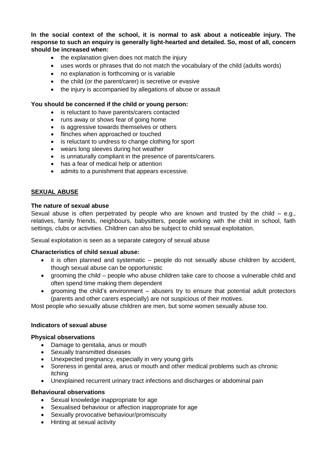**In the social context of the school, it is normal to ask about a noticeable injury. The response to such an enquiry is generally light-hearted and detailed. So, most of all, concern should be increased when:** 

- the explanation given does not match the injury
- uses words or phrases that do not match the vocabulary of the child (adults words)
- no explanation is forthcoming or is variable
- the child (or the parent/carer) is secretive or evasive
- the injury is accompanied by allegations of abuse or assault

#### **You should be concerned if the child or young person:**

- is reluctant to have parents/carers contacted
- runs away or shows fear of going home
- is aggressive towards themselves or others
- flinches when approached or touched
- is reluctant to undress to change clothing for sport
- wears long sleeves during hot weather
- is unnaturally compliant in the presence of parents/carers.
- has a fear of medical help or attention
- admits to a punishment that appears excessive.

#### **SEXUAL ABUSE**

#### **The nature of sexual abuse**

Sexual abuse is often perpetrated by people who are known and trusted by the child  $-$  e.g., relatives, family friends, neighbours, babysitters, people working with the child in school, faith settings, clubs or activities. Children can also be subject to child sexual exploitation.

Sexual exploitation is seen as a separate category of sexual abuse

#### **Characteristics of child sexual abuse:**

- it is often planned and systematic people do not sexually abuse children by accident, though sexual abuse can be opportunistic
- grooming the child people who abuse children take care to choose a vulnerable child and often spend time making them dependent
- grooming the child's environment abusers try to ensure that potential adult protectors (parents and other carers especially) are not suspicious of their motives.

Most people who sexually abuse children are men, but some women sexually abuse too.

#### **Indicators of sexual abuse**

#### **Physical observations**

- Damage to genitalia, anus or mouth
- Sexually transmitted diseases
- Unexpected pregnancy, especially in very young girls
- Soreness in genital area, anus or mouth and other medical problems such as chronic itching
- Unexplained recurrent urinary tract infections and discharges or abdominal pain

#### **Behavioural observations**

- Sexual knowledge inappropriate for age
- Sexualised behaviour or affection inappropriate for age
- Sexually provocative behaviour/promiscuity
- Hinting at sexual activity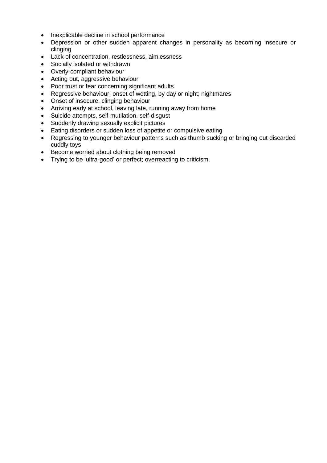- Inexplicable decline in school performance
- Depression or other sudden apparent changes in personality as becoming insecure or clinging
- Lack of concentration, restlessness, aimlessness
- Socially isolated or withdrawn
- Overly-compliant behaviour
- Acting out, aggressive behaviour
- Poor trust or fear concerning significant adults
- Regressive behaviour, onset of wetting, by day or night; nightmares
- Onset of insecure, clinging behaviour
- Arriving early at school, leaving late, running away from home
- Suicide attempts, self-mutilation, self-disgust
- Suddenly drawing sexually explicit pictures
- Eating disorders or sudden loss of appetite or compulsive eating
- Regressing to younger behaviour patterns such as thumb sucking or bringing out discarded cuddly toys
- Become worried about clothing being removed
- Trying to be 'ultra-good' or perfect; overreacting to criticism.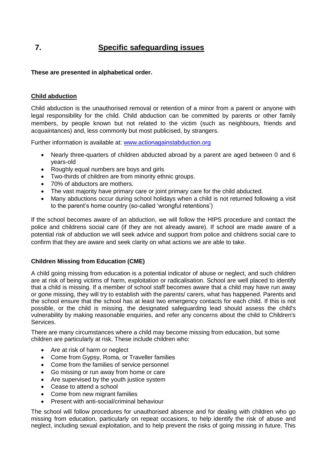# **7. Specific safeguarding issues**

## **These are presented in alphabetical order.**

#### **Child abduction**

Child abduction is the unauthorised removal or retention of a minor from a parent or anyone with legal responsibility for the child. Child abduction can be committed by parents or other family members, by people known but not related to the victim (such as neighbours, friends and acquaintances) and, less commonly but most publicised, by strangers.

Further information is available at: [www.actionagainstabduction.org](http://www.actionagainstabduction.org/)

- Nearly three-quarters of children abducted abroad by a parent are aged between 0 and 6 years-old
- Roughly equal numbers are boys and girls
- Two-thirds of children are from minority ethnic groups.
- 70% of abductors are mothers.
- The vast majority have primary care or joint primary care for the child abducted.
- Many abductions occur during school holidays when a child is not returned following a visit to the parent's home country (so-called 'wrongful retentions')

If the school becomes aware of an abduction, we will follow the HIPS procedure and contact the police and childrens social care (if they are not already aware). If school are made aware of a potential risk of abduction we will seek advice and support from police and childrens social care to confirm that they are aware and seek clarity on what actions we are able to take.

#### **Children Missing from Education (CME)**

A child going missing from education is a potential indicator of abuse or neglect, and such children are at risk of being victims of harm, exploitation or radicalisation. School are well placed to identify that a child is missing. If a member of school staff becomes aware that a child may have run away or gone missing, they will try to establish with the parents/ carers, what has happened. Parents and the school ensure that the school has at least two emergency contacts for each child. If this is not possible, or the child is missing, the designated safeguarding lead should assess the child's vulnerability by making reasonable enquiries, and refer any concerns about the child to Children's Services.

There are many circumstances where a child may become missing from education, but some children are particularly at risk. These include children who:

- Are at risk of harm or neglect
- Come from Gypsy, Roma, or Traveller families
- Come from the families of service personnel
- Go missing or run away from home or care
- Are supervised by the youth justice system
- Cease to attend a school
- Come from new migrant families
- Present with anti-social/criminal behaviour

The school will follow procedures for unauthorised absence and for dealing with children who go missing from education, particularly on repeat occasions, to help identify the risk of abuse and neglect, including sexual exploitation, and to help prevent the risks of going missing in future. This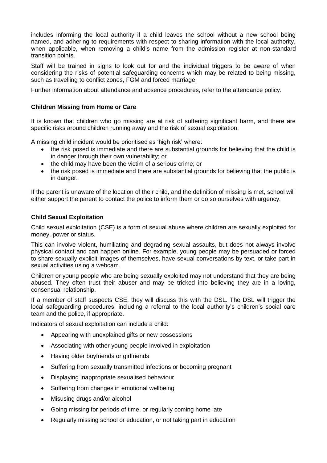includes informing the local authority if a child leaves the school without a new school being named, and adhering to requirements with respect to sharing information with the local authority, when applicable, when removing a child's name from the admission register at non-standard transition points.

Staff will be trained in signs to look out for and the individual triggers to be aware of when considering the risks of potential safeguarding concerns which may be related to being missing, such as travelling to conflict zones, FGM and forced marriage.

Further information about attendance and absence procedures, refer to the attendance policy.

## **Children Missing from Home or Care**

It is known that children who go missing are at risk of suffering significant harm, and there are specific risks around children running away and the risk of sexual exploitation.

A missing child incident would be prioritised as 'high risk' where:

- the risk posed is immediate and there are substantial grounds for believing that the child is in danger through their own vulnerability; or
- the child may have been the victim of a serious crime; or
- the risk posed is immediate and there are substantial grounds for believing that the public is in danger.

If the parent is unaware of the location of their child, and the definition of missing is met, school will either support the parent to contact the police to inform them or do so ourselves with urgency.

## **Child Sexual Exploitation**

Child sexual exploitation (CSE) is a form of sexual abuse where children are sexually exploited for money, power or status.

This can involve violent, humiliating and degrading sexual assaults, but does not always involve physical contact and can happen online. For example, young people may be persuaded or forced to share sexually explicit images of themselves, have sexual conversations by text, or take part in sexual activities using a webcam.

Children or young people who are being sexually exploited may not understand that they are being abused. They often trust their abuser and may be tricked into believing they are in a loving, consensual relationship.

If a member of staff suspects CSE, they will discuss this with the DSL. The DSL will trigger the local safeguarding procedures, including a referral to the local authority's children's social care team and the police, if appropriate.

Indicators of sexual exploitation can include a child:

- Appearing with unexplained gifts or new possessions
- Associating with other young people involved in exploitation
- Having older boyfriends or girlfriends
- Suffering from sexually transmitted infections or becoming pregnant
- Displaying inappropriate sexualised behaviour
- Suffering from changes in emotional wellbeing
- Misusing drugs and/or alcohol
- Going missing for periods of time, or regularly coming home late
- Regularly missing school or education, or not taking part in education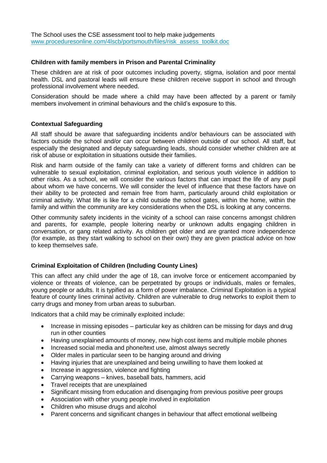#### **Children with family members in Prison and Parental Criminality**

These children are at risk of poor outcomes including poverty, stigma, isolation and poor mental health. DSL and pastoral leads will ensure these children receive support in school and through professional involvement where needed.

Consideration should be made where a child may have been affected by a parent or family members involvement in criminal behaviours and the child's exposure to this.

#### **Contextual Safeguarding**

All staff should be aware that safeguarding incidents and/or behaviours can be associated with factors outside the school and/or can occur between children outside of our school. All staff, but especially the designated and deputy safeguarding leads, should consider whether children are at risk of abuse or exploitation in situations outside their families.

Risk and harm outside of the family can take a variety of different forms and children can be vulnerable to sexual exploitation, criminal exploitation, and serious youth violence in addition to other risks. As a school, we will consider the various factors that can impact the life of any pupil about whom we have concerns. We will consider the level of influence that these factors have on their ability to be protected and remain free from harm, particularly around child exploitation or criminal activity. What life is like for a child outside the school gates, within the home, within the family and within the community are key considerations when the DSL is looking at any concerns.

Other community safety incidents in the vicinity of a school can raise concerns amongst children and parents, for example, people loitering nearby or unknown adults engaging children in conversation, or gang related activity. As children get older and are granted more independence (for example, as they start walking to school on their own) they are given practical advice on how to keep themselves safe.

#### **Criminal Exploitation of Children (Including County Lines)**

This can affect any child under the age of 18, can involve force or enticement accompanied by violence or threats of violence, can be perpetrated by groups or individuals, males or females, young people or adults. It is typified as a form of power imbalance. Criminal Exploitation is a typical feature of county lines criminal activity. Children are vulnerable to drug networks to exploit them to carry drugs and money from urban areas to suburban.

Indicators that a child may be criminally exploited include:

- Increase in missing episodes particular key as children can be missing for days and drug run in other counties
- Having unexplained amounts of money, new high cost items and multiple mobile phones
- Increased social media and phone/text use, almost always secretly
- Older males in particular seen to be hanging around and driving
- Having injuries that are unexplained and being unwilling to have them looked at
- Increase in aggression, violence and fighting
- Carrying weapons knives, baseball bats, hammers, acid
- Travel receipts that are unexplained
- Significant missing from education and disengaging from previous positive peer groups
- Association with other young people involved in exploitation
- Children who misuse drugs and alcohol
- Parent concerns and significant changes in behaviour that affect emotional wellbeing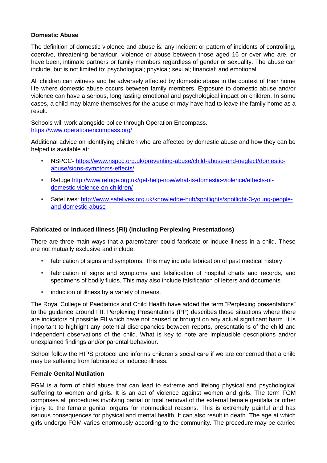## **Domestic Abuse**

The definition of domestic violence and abuse is: any incident or pattern of incidents of controlling, coercive, threatening behaviour, violence or abuse between those aged 16 or over who are, or have been, intimate partners or family members regardless of gender or sexuality. The abuse can include, but is not limited to: psychological; physical; sexual; financial; and emotional.

All children can witness and be adversely affected by domestic abuse in the context of their home life where domestic abuse occurs between family members. Exposure to domestic abuse and/or violence can have a serious, long lasting emotional and psychological impact on children. In some cases, a child may blame themselves for the abuse or may have had to leave the family home as a result.

Schools will work alongside police through Operation Encompass. <https://www.operationencompass.org/>

Additional advice on identifying children who are affected by domestic abuse and how they can be helped is available at:

- NSPCC- [https://www.nspcc.org.uk/preventing-abuse/child-abuse-and-neglect/domestic](https://www.nspcc.org.uk/preventing-abuse/child-abuse-and-neglect/domestic-abuse/signs-symptoms-effects/)[abuse/signs-symptoms-effects/](https://www.nspcc.org.uk/preventing-abuse/child-abuse-and-neglect/domestic-abuse/signs-symptoms-effects/)
- Refuge [http://www.refuge.org.uk/get-help-now/what-is-domestic-violence/effects-of](http://www.refuge.org.uk/get-help-now/what-is-domestic-violence/effects-of-domestic-violence-on-children/)[domestic-violence-on-children/](http://www.refuge.org.uk/get-help-now/what-is-domestic-violence/effects-of-domestic-violence-on-children/)
- SafeLives: [http://www.safelives.org.uk/knowledge-hub/spotlights/spotlight-3-young-people](http://www.safelives.org.uk/knowledge-hub/spotlights/spotlight-3-young-people-and-domestic-abuse)[and-domestic-abuse](http://www.safelives.org.uk/knowledge-hub/spotlights/spotlight-3-young-people-and-domestic-abuse)

#### **Fabricated or Induced Illness (FII) (including Perplexing Presentations)**

There are three main ways that a parent/carer could fabricate or induce illness in a child. These are not mutually exclusive and include:

- fabrication of signs and symptoms. This may include fabrication of past medical history
- fabrication of signs and symptoms and falsification of hospital charts and records, and specimens of bodily fluids. This may also include falsification of letters and documents
- induction of illness by a variety of means.

The Royal College of Paediatrics and Child Health have added the term "Perplexing presentations" to the guidance around FII. Perplexing Presentations (PP) describes those situations where there are indicators of possible FII which have not caused or brought on any actual significant harm. It is important to highlight any potential discrepancies between reports, presentations of the child and independent observations of the child. What is key to note are implausible descriptions and/or unexplained findings and/or parental behaviour.

School follow the HIPS protocol and informs children's social care if we are concerned that a child may be suffering from fabricated or induced illness.

#### **Female Genital Mutilation**

FGM is a form of child abuse that can lead to extreme and lifelong physical and psychological suffering to women and girls. It is an act of violence against women and girls. The term FGM comprises all procedures involving partial or total removal of the external female genitalia or other injury to the female genital organs for nonmedical reasons. This is extremely painful and has serious consequences for physical and mental health. It can also result in death. The age at which girls undergo FGM varies enormously according to the community. The procedure may be carried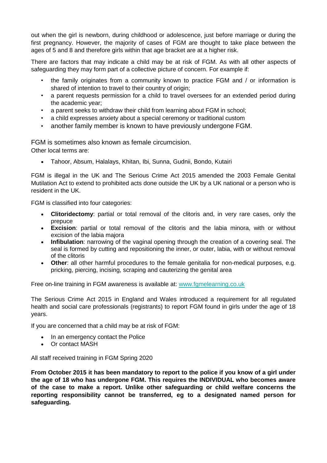out when the girl is newborn, during childhood or adolescence, just before marriage or during the first pregnancy. However, the majority of cases of FGM are thought to take place between the ages of 5 and 8 and therefore girls within that age bracket are at a higher risk.

There are factors that may indicate a child may be at risk of FGM. As with all other aspects of safeguarding they may form part of a collective picture of concern. For example if:

- the family originates from a community known to practice FGM and / or information is shared of intention to travel to their country of origin;
- a parent requests permission for a child to travel oversees for an extended period during the academic year;
- a parent seeks to withdraw their child from learning about FGM in school;
- a child expresses anxiety about a special ceremony or traditional custom
- another family member is known to have previously undergone FGM.

FGM is sometimes also known as female circumcision. Other local terms are:

Tahoor, Absum, Halalays, Khitan, Ibi, Sunna, Gudnii, Bondo, Kutairi

FGM is illegal in the UK and The Serious Crime Act 2015 amended the 2003 Female Genital Mutilation Act to extend to prohibited acts done outside the UK by a UK national or a person who is resident in the UK.

FGM is classified into four categories:

- **Clitoridectomy**: partial or total removal of the clitoris and, in very rare cases, only the prepuce
- **Excision**: partial or total removal of the clitoris and the labia minora, with or without excision of the labia majora
- **Infibulation**: narrowing of the vaginal opening through the creation of a covering seal. The seal is formed by cutting and repositioning the inner, or outer, labia, with or without removal of the clitoris
- **Other**: all other harmful procedures to the female genitalia for non-medical purposes, e.g. pricking, piercing, incising, scraping and cauterizing the genital area

Free on-line training in FGM awareness is available at: [www.fgmelearning.co.uk](http://www.fgmelearning.co.uk/)

The Serious Crime Act 2015 in England and Wales introduced a requirement for all regulated health and social care professionals (registrants) to report FGM found in girls under the age of 18 years.

If you are concerned that a child may be at risk of FGM:

- In an emergency contact the Police
- Or contact MASH

All staff received training in FGM Spring 2020

**From October 2015 it has been mandatory to report to the police if you know of a girl under the age of 18 who has undergone FGM. This requires the INDIVIDUAL who becomes aware of the case to make a report. Unlike other safeguarding or child welfare concerns the reporting responsibility cannot be transferred, eg to a designated named person for safeguarding.**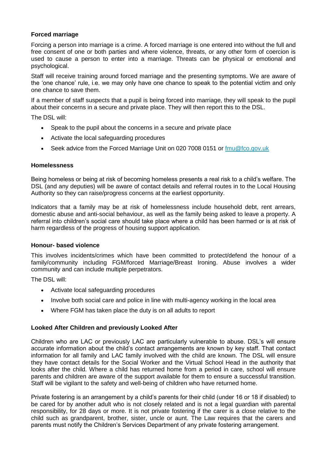#### **Forced marriage**

Forcing a person into marriage is a crime. A forced marriage is one entered into without the full and free consent of one or both parties and where violence, threats, or any other form of coercion is used to cause a person to enter into a marriage. Threats can be physical or emotional and psychological.

Staff will receive training around forced marriage and the presenting symptoms. We are aware of the 'one chance' rule, i.e. we may only have one chance to speak to the potential victim and only one chance to save them.

If a member of staff suspects that a pupil is being forced into marriage, they will speak to the pupil about their concerns in a secure and private place. They will then report this to the DSL.

The DSL will:

- Speak to the pupil about the concerns in a secure and private place
- Activate the local safeguarding procedures
- Seek advice from the Forced Marriage Unit on 020 7008 0151 or [fmu@fco.gov.uk](mailto:fmu@fco.gov.uk)

#### **Homelessness**

Being homeless or being at risk of becoming homeless presents a real risk to a child's welfare. The DSL (and any deputies) will be aware of contact details and referral routes in to the Local Housing Authority so they can raise/progress concerns at the earliest opportunity.

Indicators that a family may be at risk of homelessness include household debt, rent arrears, domestic abuse and anti-social behaviour, as well as the family being asked to leave a property. A referral into children's social care should take place where a child has been harmed or is at risk of harm regardless of the progress of housing support application.

#### **Honour- based violence**

This involves incidents/crimes which have been committed to protect/defend the honour of a family/community including FGM/forced Marriage/Breast Ironing. Abuse involves a wider community and can include multiple perpetrators.

The DSL will:

- Activate local safeguarding procedures
- Involve both social care and police in line with multi-agency working in the local area
- Where FGM has taken place the duty is on all adults to report

#### **Looked After Children and previously Looked After**

Children who are LAC or previously LAC are particularly vulnerable to abuse. DSL's will ensure accurate information about the child's contact arrangements are known by key staff. That contact information for all family and LAC family involved with the child are known. The DSL will ensure they have contact details for the Social Worker and the Virtual School Head in the authority that looks after the child. Where a child has returned home from a period in care, school will ensure parents and children are aware of the support available for them to ensure a successful transition. Staff will be vigilant to the safety and well-being of children who have returned home.

Private fostering is an arrangement by a child's parents for their child (under 16 or 18 if disabled) to be cared for by another adult who is not closely related and is not a legal guardian with parental responsibility, for 28 days or more. It is not private fostering if the carer is a close relative to the child such as grandparent, brother, sister, uncle or aunt. The Law requires that the carers and parents must notify the Children's Services Department of any private fostering arrangement.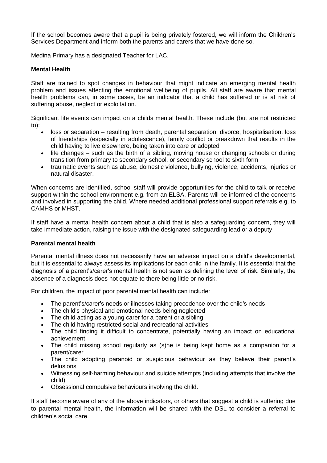If the school becomes aware that a pupil is being privately fostered, we will inform the Children's Services Department and inform both the parents and carers that we have done so.

Medina Primary has a designated Teacher for LAC.

## **Mental Health**

Staff are trained to spot changes in behaviour that might indicate an emerging mental health problem and issues affecting the emotional wellbeing of pupils. All staff are aware that mental health problems can, in some cases, be an indicator that a child has suffered or is at risk of suffering abuse, neglect or exploitation.

Significant life events can impact on a childs mental health. These include (but are not restricted to):

- loss or separation resulting from death, parental separation, divorce, hospitalisation, loss of friendships (especially in adolescence), family conflict or breakdown that results in the child having to live elsewhere, being taken into care or adopted
- life changes such as the birth of a sibling, moving house or changing schools or during transition from primary to secondary school, or secondary school to sixth form
- traumatic events such as abuse, domestic violence, bullying, violence, accidents, injuries or natural disaster.

When concerns are identified, school staff will provide opportunities for the child to talk or receive support within the school environment e.g. from an ELSA. Parents will be informed of the concerns and involved in supporting the child. Where needed additional professional support referrals e.g. to CAMHS or MHST.

If staff have a mental health concern about a child that is also a safeguarding concern, they will take immediate action, raising the issue with the designated safeguarding lead or a deputy

#### **Parental mental health**

Parental mental illness does not necessarily have an adverse impact on a child's developmental, but it is essential to always assess its implications for each child in the family. It is essential that the diagnosis of a parent's/carer's mental health is not seen as defining the level of risk. Similarly, the absence of a diagnosis does not equate to there being little or no risk.

For children, the impact of poor parental mental health can include:

- The parent's/carer's needs or illnesses taking precedence over the child's needs
- The child's physical and emotional needs being neglected
- The child acting as a young carer for a parent or a sibling
- The child having restricted social and recreational activities
- The child finding it difficult to concentrate, potentially having an impact on educational achievement
- The child missing school regularly as (s)he is being kept home as a companion for a parent/carer
- The child adopting paranoid or suspicious behaviour as they believe their parent's delusions
- Witnessing self-harming behaviour and suicide attempts (including attempts that involve the child)
- Obsessional compulsive behaviours involving the child.

If staff become aware of any of the above indicators, or others that suggest a child is suffering due to parental mental health, the information will be shared with the DSL to consider a referral to children's social care.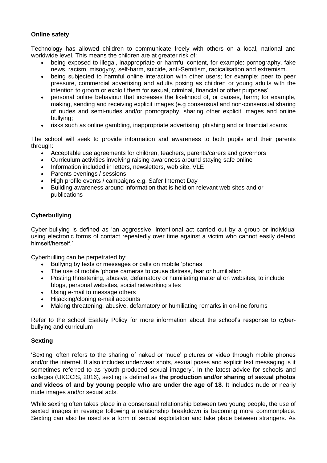## **Online safety**

Technology has allowed children to communicate freely with others on a local, national and worldwide level. This means the children are at greater risk of:

- being exposed to illegal, inappropriate or harmful content, for example: pornography, fake news, racism, misogyny, self-harm, suicide, anti-Semitism, radicalisation and extremism.
- being subjected to harmful online interaction with other users; for example: peer to peer pressure, commercial advertising and adults posing as children or young adults with the intention to groom or exploit them for sexual, criminal, financial or other purposes'.
- personal online behaviour that increases the likelihood of, or causes, harm; for example, making, sending and receiving explicit images (e.g consensual and non-consensual sharing of nudes and semi-nudes and/or pornography, sharing other explicit images and online bullying;
- risks such as online gambling, inappropriate advertising, phishing and or financial scams

The school will seek to provide information and awareness to both pupils and their parents through:

- Acceptable use agreements for children, teachers, parents/carers and governors
- Curriculum activities involving raising awareness around staying safe online
- Information included in letters, newsletters, web site, VLE
- Parents evenings / sessions
- High profile events / campaigns e.g. Safer Internet Day
- Building awareness around information that is held on relevant web sites and or publications

## **Cyberbullying**

Cyber-bullying is defined as 'an aggressive, intentional act carried out by a group or individual using electronic forms of contact repeatedly over time against a victim who cannot easily defend himself/herself.'

Cyberbulling can be perpetrated by:

- Bullying by texts or messages or calls on mobile 'phones
- The use of mobile 'phone cameras to cause distress, fear or humiliation
- Posting threatening, abusive, defamatory or humiliating material on websites, to include blogs, personal websites, social networking sites
- Using e-mail to message others
- Hijacking/cloning e-mail accounts
- Making threatening, abusive, defamatory or humiliating remarks in on-line forums

Refer to the school Esafety Policy for more information about the school's response to cyberbullying and curriculum

#### **Sexting**

'Sexting' often refers to the sharing of naked or 'nude' pictures or video through mobile phones and/or the internet. It also includes underwear shots, sexual poses and explicit text messaging is it sometimes referred to as 'youth produced sexual imagery'. In the latest advice for schools and colleges (UKCCIS, 2016), sexting is defined as **the production and/or sharing of sexual photos and videos of and by young people who are under the age of 18**. It includes nude or nearly nude images and/or sexual acts.

While sexting often takes place in a consensual relationship between two young people, the use of sexted images in revenge following a relationship breakdown is becoming more commonplace. Sexting can also be used as a form of sexual exploitation and take place between strangers. As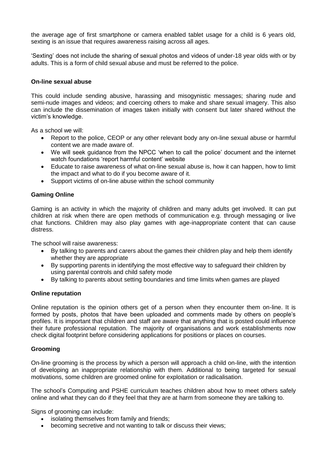the average age of first smartphone or camera enabled tablet usage for a child is 6 years old, sexting is an issue that requires awareness raising across all ages.

'Sexting' does not include the sharing of sexual photos and videos of under-18 year olds with or by adults. This is a form of child sexual abuse and must be referred to the police.

#### **On-line sexual abuse**

This could include sending abusive, harassing and misogynistic messages; sharing nude and semi-nude images and videos; and coercing others to make and share sexual imagery. This also can include the dissemination of images taken initially with consent but later shared without the victim's knowledge.

As a school we will:

- Report to the police, CEOP or any other relevant body any on-line sexual abuse or harmful content we are made aware of.
- We will seek guidance from the NPCC 'when to call the police' document and the internet watch foundations 'report harmful content' website
- Educate to raise awareness of what on-line sexual abuse is, how it can happen, how to limit the impact and what to do if you become aware of it.
- Support victims of on-line abuse within the school community

#### **Gaming Online**

Gaming is an activity in which the majority of children and many adults get involved. It can put children at risk when there are open methods of communication e.g. through messaging or live chat functions. Children may also play games with age-inappropriate content that can cause distress.

The school will raise awareness:

- By talking to parents and carers about the games their children play and help them identify whether they are appropriate
- By supporting parents in identifying the most effective way to safeguard their children by using parental controls and child safety mode
- By talking to parents about setting boundaries and time limits when games are played

#### **Online reputation**

Online reputation is the opinion others get of a person when they encounter them on-line. It is formed by posts, photos that have been uploaded and comments made by others on people's profiles. It is important that children and staff are aware that anything that is posted could influence their future professional reputation. The majority of organisations and work establishments now check digital footprint before considering applications for positions or places on courses.

#### **Grooming**

On-line grooming is the process by which a person will approach a child on-line, with the intention of developing an inappropriate relationship with them. Additional to being targeted for sexual motivations, some children are groomed online for exploitation or radicalisation.

The school's Computing and PSHE curriculum teaches children about how to meet others safely online and what they can do if they feel that they are at harm from someone they are talking to.

Signs of grooming can include:

- isolating themselves from family and friends;
- becoming secretive and not wanting to talk or discuss their views;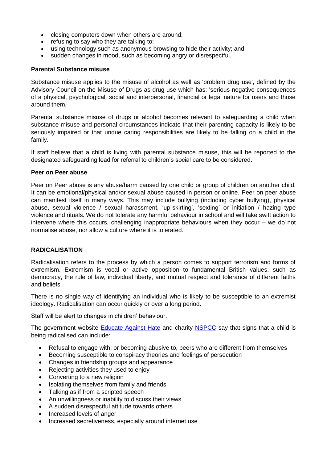- closing computers down when others are around;
- refusing to say who they are talking to;
- using technology such as anonymous browsing to hide their activity; and
- sudden changes in mood, such as becoming angry or disrespectful.

#### **Parental Substance misuse**

Substance misuse applies to the misuse of alcohol as well as 'problem drug use', defined by the Advisory Council on the Misuse of Drugs as drug use which has: 'serious negative consequences of a physical, psychological, social and interpersonal, financial or legal nature for users and those around them.

Parental substance misuse of drugs or alcohol becomes relevant to safeguarding a child when substance misuse and personal circumstances indicate that their parenting capacity is likely to be seriously impaired or that undue caring responsibilities are likely to be falling on a child in the family.

If staff believe that a child is living with parental substance misuse, this will be reported to the designated safeguarding lead for referral to children's social care to be considered.

#### **Peer on Peer abuse**

Peer on Peer abuse is any abuse/harm caused by one child or group of children on another child. It can be emotional/physical and/or sexual abuse caused in person or online. Peer on peer abuse can manifest itself in many ways. This may include bullying (including cyber bullying), physical abuse, sexual violence / sexual harassment, 'up-skirting', 'sexting' or initiation / hazing type violence and rituals. We do not tolerate any harmful behaviour in school and will take swift action to intervene where this occurs, challenging inappropriate behaviours when they occur – we do not normalise abuse, nor allow a culture where it is tolerated.

#### **RADICALISATION**

Radicalisation refers to the process by which a person comes to support terrorism and forms of extremism. Extremism is vocal or active opposition to fundamental British values, such as democracy, the rule of law, individual liberty, and mutual respect and tolerance of different faiths and beliefs.

There is no single way of identifying an individual who is likely to be susceptible to an extremist ideology. Radicalisation can occur quickly or over a long period.

Staff will be alert to changes in children' behaviour.

The government website **Educate Against Hate** and charity **NSPCC** say that signs that a child is being radicalised can include:

- Refusal to engage with, or becoming abusive to, peers who are different from themselves
- Becoming susceptible to conspiracy theories and feelings of persecution
- Changes in friendship groups and appearance
- Rejecting activities they used to enjoy
- Converting to a new religion
- Isolating themselves from family and friends
- Talking as if from a scripted speech
- An unwillingness or inability to discuss their views
- A sudden disrespectful attitude towards others
- Increased levels of anger
- Increased secretiveness, especially around internet use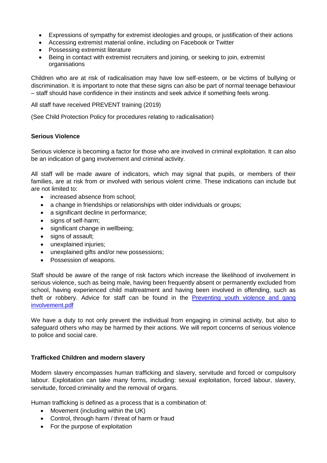- Expressions of sympathy for extremist ideologies and groups, or justification of their actions
- Accessing extremist material online, including on Facebook or Twitter
- Possessing extremist literature
- Being in contact with extremist recruiters and joining, or seeking to join, extremist organisations

Children who are at risk of radicalisation may have low self-esteem, or be victims of bullying or discrimination. It is important to note that these signs can also be part of normal teenage behaviour – staff should have confidence in their instincts and seek advice if something feels wrong.

All staff have received PREVENT training (2019)

(See Child Protection Policy for procedures relating to radicalisation)

#### **Serious Violence**

Serious violence is becoming a factor for those who are involved in criminal exploitation. It can also be an indication of gang involvement and criminal activity.

All staff will be made aware of indicators, which may signal that pupils, or members of their families, are at risk from or involved with serious violent crime. These indications can include but are not limited to:

- increased absence from school:
- a change in friendships or relationships with older individuals or groups;
- a significant decline in performance;
- signs of self-harm:
- significant change in wellbeing;
- signs of assault;
- unexplained injuries;
- unexplained gifts and/or new possessions;
- Possession of weapons.

Staff should be aware of the range of risk factors which increase the likelihood of involvement in serious violence, such as being male, having been frequently absent or permanently excluded from school, having experienced child maltreatment and having been involved in offending, such as theft or robbery. Advice for staff can be found in the Preventing youth violence and gang [involvement.pdf](https://assets.publishing.service.gov.uk/government/uploads/system/uploads/attachment_data/file/418131/Preventing_youth_violence_and_gang_involvement_v3_March2015.pdf)

We have a duty to not only prevent the individual from engaging in criminal activity, but also to safeguard others who may be harmed by their actions. We will report concerns of serious violence to police and social care.

#### **Trafficked Children and modern slavery**

Modern slavery encompasses human trafficking and slavery, servitude and forced or compulsory labour. Exploitation can take many forms, including: sexual exploitation, forced labour, slavery, servitude, forced criminality and the removal of organs.

Human trafficking is defined as a process that is a combination of:

- Movement (including within the UK)
- Control, through harm / threat of harm or fraud
- For the purpose of exploitation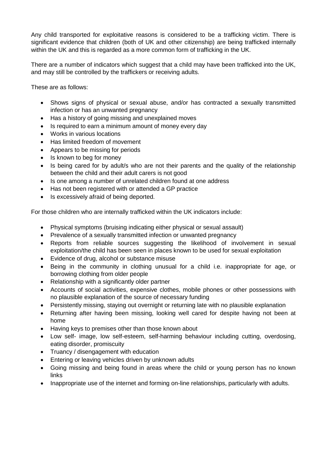Any child transported for exploitative reasons is considered to be a trafficking victim. There is significant evidence that children (both of UK and other citizenship) are being trafficked internally within the UK and this is regarded as a more common form of trafficking in the UK.

There are a number of indicators which suggest that a child may have been trafficked into the UK. and may still be controlled by the traffickers or receiving adults.

These are as follows:

- Shows signs of physical or sexual abuse, and/or has contracted a sexually transmitted infection or has an unwanted pregnancy
- Has a history of going missing and unexplained moves
- Is required to earn a minimum amount of money every day
- Works in various locations
- Has limited freedom of movement
- Appears to be missing for periods
- Is known to beg for money
- Is being cared for by adult/s who are not their parents and the quality of the relationship between the child and their adult carers is not good
- Is one among a number of unrelated children found at one address
- Has not been registered with or attended a GP practice
- Is excessively afraid of being deported.

For those children who are internally trafficked within the UK indicators include:

- Physical symptoms (bruising indicating either physical or sexual assault)
- Prevalence of a sexually transmitted infection or unwanted pregnancy
- Reports from reliable sources suggesting the likelihood of involvement in sexual exploitation/the child has been seen in places known to be used for sexual exploitation
- Evidence of drug, alcohol or substance misuse
- Being in the community in clothing unusual for a child i.e. inappropriate for age, or borrowing clothing from older people
- Relationship with a significantly older partner
- Accounts of social activities, expensive clothes, mobile phones or other possessions with no plausible explanation of the source of necessary funding
- Persistently missing, staying out overnight or returning late with no plausible explanation
- Returning after having been missing, looking well cared for despite having not been at home
- Having keys to premises other than those known about
- Low self- image, low self-esteem, self-harming behaviour including cutting, overdosing, eating disorder, promiscuity
- Truancy / disengagement with education
- Entering or leaving vehicles driven by unknown adults
- Going missing and being found in areas where the child or young person has no known links
- Inappropriate use of the internet and forming on-line relationships, particularly with adults.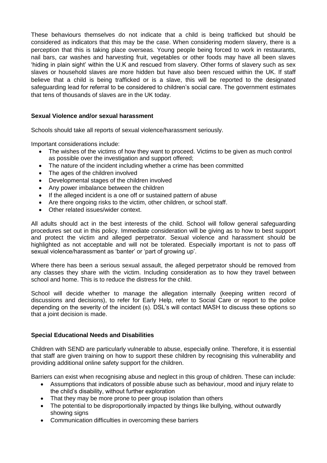These behaviours themselves do not indicate that a child is being trafficked but should be considered as indicators that this may be the case. When considering modern slavery, there is a perception that this is taking place overseas. Young people being forced to work in restaurants, nail bars, car washes and harvesting fruit, vegetables or other foods may have all been slaves 'hiding in plain sight' within the U.K and rescued from slavery. Other forms of slavery such as sex slaves or household slaves are more hidden but have also been rescued within the UK. If staff believe that a child is being trafficked or is a slave, this will be reported to the designated safeguarding lead for referral to be considered to children's social care. The government estimates that tens of thousands of slaves are in the UK today.

## **Sexual Violence and/or sexual harassment**

Schools should take all reports of sexual violence/harassment seriously.

Important considerations include:

- The wishes of the victims of how they want to proceed. Victims to be given as much control as possible over the investigation and support offered;
- The nature of the incident including whether a crime has been committed
- The ages of the children involved
- Developmental stages of the children involved
- Any power imbalance between the children
- If the alleged incident is a one off or sustained pattern of abuse
- Are there ongoing risks to the victim, other children, or school staff.
- Other related issues/wider context.

All adults should act in the best interests of the child. School will follow general safeguarding procedures set out in this policy. Immediate consideration will be giving as to how to best support and protect the victim and alleged perpetrator. Sexual violence and harassment should be highlighted as not acceptable and will not be tolerated. Especially important is not to pass off sexual violence/harassment as 'banter' or 'part of growing up'.

Where there has been a serious sexual assault, the alleged perpetrator should be removed from any classes they share with the victim. Including consideration as to how they travel between school and home. This is to reduce the distress for the child.

School will decide whether to manage the allegation internally (keeping written record of discussions and decisions), to refer for Early Help, refer to Social Care or report to the police depending on the severity of the incident (s). DSL's will contact MASH to discuss these options so that a joint decision is made.

#### **Special Educational Needs and Disabilities**

Children with SEND are particularly vulnerable to abuse, especially online. Therefore, it is essential that staff are given training on how to support these children by recognising this vulnerability and providing additional online safety support for the children.

Barriers can exist when recognising abuse and neglect in this group of children. These can include:

- Assumptions that indicators of possible abuse such as behaviour, mood and injury relate to the child's disability, without further exploration
- That they may be more prone to peer group isolation than others
- The potential to be disproportionally impacted by things like bullying, without outwardly showing signs
- Communication difficulties in overcoming these barriers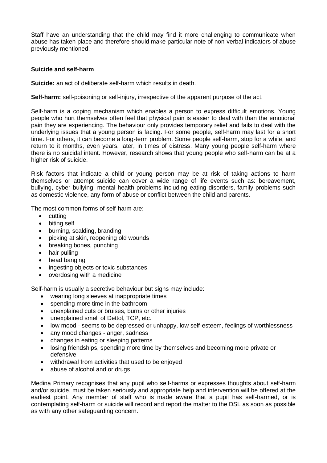Staff have an understanding that the child may find it more challenging to communicate when abuse has taken place and therefore should make particular note of non-verbal indicators of abuse previously mentioned.

#### **Suicide and self-harm**

**Suicide:** an act of deliberate self-harm which results in death.

**Self-harm:** self-poisoning or self-injury, irrespective of the apparent purpose of the act.

Self-harm is a coping mechanism which enables a person to express difficult emotions. Young people who hurt themselves often feel that physical pain is easier to deal with than the emotional pain they are experiencing. The behaviour only provides temporary relief and fails to deal with the underlying issues that a young person is facing. For some people, self-harm may last for a short time. For others, it can become a long-term problem. Some people self-harm, stop for a while, and return to it months, even years, later, in times of distress. Many young people self-harm where there is no suicidal intent. However, research shows that young people who self-harm can be at a higher risk of suicide.

Risk factors that indicate a child or young person may be at risk of taking actions to harm themselves or attempt suicide can cover a wide range of life events such as: bereavement, bullying, cyber bullying, mental health problems including eating disorders, family problems such as domestic violence, any form of abuse or conflict between the child and parents.

The most common forms of self-harm are:

- cutting
- biting self
- burning, scalding, branding
- picking at skin, reopening old wounds
- breaking bones, punching
- hair pulling
- head banging
- ingesting objects or toxic substances
- overdosing with a medicine

Self-harm is usually a secretive behaviour but signs may include:

- wearing long sleeves at inappropriate times
- spending more time in the bathroom
- unexplained cuts or bruises, burns or other injuries
- unexplained smell of Dettol, TCP, etc.
- low mood seems to be depressed or unhappy, low self-esteem, feelings of worthlessness
- any mood changes anger, sadness
- changes in eating or sleeping patterns
- losing friendships, spending more time by themselves and becoming more private or defensive
- withdrawal from activities that used to be enjoyed
- abuse of alcohol and or drugs

Medina Primary recognises that any pupil who self-harms or expresses thoughts about self-harm and/or suicide, must be taken seriously and appropriate help and intervention will be offered at the earliest point. Any member of staff who is made aware that a pupil has self-harmed, or is contemplating self-harm or suicide will record and report the matter to the DSL as soon as possible as with any other safeguarding concern.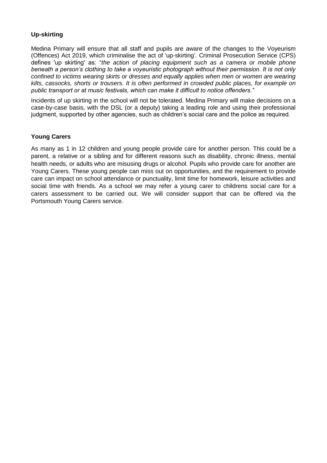## **Up-skirting**

Medina Primary will ensure that all staff and pupils are aware of the changes to the Voyeurism (Offences) Act 2019, which criminalise the act of 'up-skirting'. Criminal Prosecution Service (CPS) defines 'up skirting' as: "*the action of placing equipment such as a camera or mobile phone beneath a person's clothing to take a voyeuristic photograph without their permission. It is not only confined to victims wearing skirts or dresses and equally applies when men or women are wearing kilts, cassocks, shorts or trousers. It is often performed in crowded public places, for example on public transport or at music festivals, which can make it difficult to notice offenders."* 

Incidents of up skirting in the school will not be tolerated. Medina Primary will make decisions on a case-by-case basis, with the DSL (or a deputy) taking a leading role and using their professional judgment, supported by other agencies, such as children's social care and the police as required.

#### **Young Carers**

As many as 1 in 12 children and young people provide care for another person. This could be a parent, a relative or a sibling and for different reasons such as disability, chronic illness, mental health needs, or adults who are misusing drugs or alcohol. Pupils who provide care for another are Young Carers. These young people can miss out on opportunities, and the requirement to provide care can impact on school attendance or punctuality, limit time for homework, leisure activities and social time with friends. As a school we may refer a young carer to childrens social care for a carers assessment to be carried out. We will consider support that can be offered via the Portsmouth Young Carers service.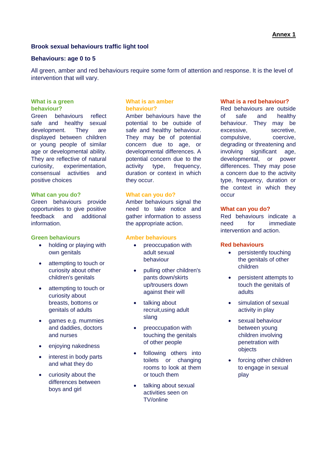#### **Brook sexual behaviours traffic light tool**

#### **Behaviours: age 0 to 5**

All green, amber and red behaviours require some form of attention and response. It is the level of intervention that will vary.

#### **What is a green behaviour?**

Green behaviours reflect safe and healthy sexual development. They are displayed between children or young people of similar age or developmental ability. They are reflective of natural curiosity, experimentation, consensual activities and positive choices

#### **What can you do?**

Green behaviours provide opportunities to give positive feedback and additional information.

#### **Green behaviours**

- holding or playing with own genitals
- attempting to touch or curiosity about other children's genitals
- attempting to touch or curiosity about breasts, bottoms or genitals of adults
- games e.g. mummies and daddies, doctors and nurses
- enjoying nakedness
- interest in body parts and what they do
- curiosity about the differences between boys and girl

#### **What is an amber behaviour?**

Amber behaviours have the potential to be outside of safe and healthy behaviour. They may be of potential concern due to age, or developmental differences. A potential concern due to the activity type, frequency, duration or context in which they occur.

#### **What can you do?**

Amber behaviours signal the need to take notice and gather information to assess the appropriate action.

#### **Amber behaviours**

- preoccupation with adult sexual behaviour
- pulling other children's pants down/skirts up/trousers down against their will
- talking about recruit,using adult slang
- preoccupation with touching the genitals of other people
- following others into toilets or changing rooms to look at them or touch them
- talking about sexual activities seen on TV/online

#### **What is a red behaviour?**

Red behaviours are outside of safe and healthy behaviour. They may be excessive, secretive, compulsive, coercive, degrading or threatening and involving significant age, developmental, or power differences. They may pose a concern due to the activity type, frequency, duration or the context in which they occur

#### **What can you do?**

Red behaviours indicate a need for immediate intervention and action.

#### **Red behaviours**

- persistently touching the genitals of other children
- persistent attempts to touch the genitals of adults
- simulation of sexual activity in play
- sexual behaviour between young children involving penetration with objects
- forcing other children to engage in sexual play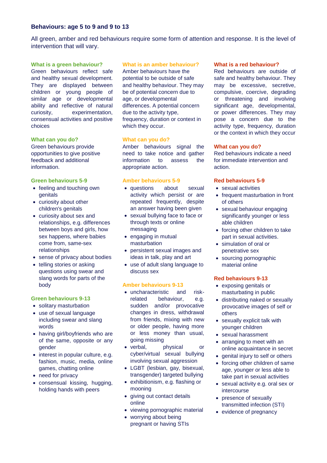#### **Behaviours: age 5 to 9 and 9 to 13**

All green, amber and red behaviours require some form of attention and response. It is the level of intervention that will vary.

#### **What is a green behaviour?**

Green behaviours reflect safe and healthy sexual development. They are displayed between children or young people of similar age or developmental ability and reflective of natural curiosity, experimentation, consensual activities and positive choices

#### **What can you do?**

Green behaviours provide opportunities to give positive feedback and additional information.

#### **Green behaviours 5-9**

- feeling and touching own genitals
- curiosity about other children's genitals
- curiosity about sex and relationships, e.g. differences between boys and girls, how sex happens, where babies come from, same-sex relationships
- sense of privacy about bodies
- telling stories or asking questions using swear and slang words for parts of the body

#### **Green behaviours 9-13**

- solitary masturbation
- use of sexual language including swear and slang words
- having girl/boyfriends who are of the same, opposite or any gender
- $\bullet$  interest in popular culture, e.g. fashion, music, media, online games, chatting online
- need for privacy
- consensual kissing, hugging, holding hands with peers

#### **What is an amber behaviour?**

Amber behaviours have the potential to be outside of safe and healthy behaviour. They may be of potential concern due to age, or developmental differences. A potential concern due to the activity type, frequency, duration or context in which they occur.

#### **What can you do?**

Amber behaviours signal the need to take notice and gather information to assess the appropriate action.

#### **Amber behaviours 5-9**

- questions about sexual activity which persist or are repeated frequently, despite an answer having been given
- sexual bullying face to face or through texts or online messaging
- engaging in mutual masturbation
- persistent sexual images and ideas in talk, play and art
- use of adult slang language to discuss sex

#### **Amber behaviours 9-13**

- uncharacteristic and riskrelated behaviour, e.g. sudden and/or provocative changes in dress, withdrawal from friends, mixing with new or older people, having more or less money than usual, going missing
- verbal, physical or cyber/virtual sexual bullying involving sexual aggression
- LGBT (lesbian, gay, bisexual, transgender) targeted bullying
- exhibitionism, e.g. flashing or mooning
- giving out contact details online
- viewing pornographic material
- worrying about being pregnant or having STIs

#### **What is a red behaviour?**

Red behaviours are outside of safe and healthy behaviour. They may be excessive, secretive, compulsive, coercive, degrading or threatening and involving significant age, developmental, or power differences. They may pose a concern due to the activity type, frequency, duration or the context in which they occur

#### **What can you do?**

Red behaviours indicate a need for immediate intervention and action.

#### **Red behaviours 5-9**

- sexual activities
- frequent masturbation in front of others
- sexual behaviour engaging significantly younger or less able children
- forcing other children to take part in sexual activities.
- simulation of oral or penetrative sex
- sourcing pornographic material online

#### **Red behaviours 9-13**

- exposing genitals or masturbating in public
- distributing naked or sexually provocative images of self or others
- sexually explicit talk with younger children
- sexual harassment
- arranging to meet with an online acquaintance in secret
- genital injury to self or others
- forcing other children of same age, younger or less able to take part in sexual activities
- sexual activity e.g. oral sex or intercourse
- presence of sexually transmitted infection (STI)
- evidence of pregnancy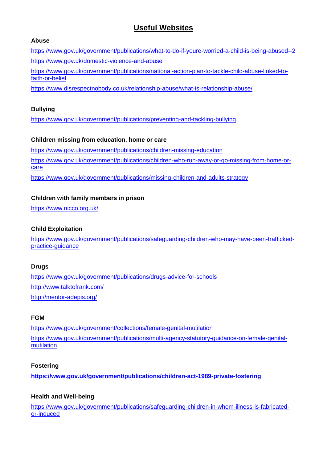# **Useful Websites**

#### **Abuse**

<https://www.gov.uk/government/publications/what-to-do-if-youre-worried-a-child-is-being-abused--2> <https://www.gov.uk/domestic-violence-and-abuse>

[https://www.gov.uk/government/publications/national-action-plan-to-tackle-child-abuse-linked-to](https://www.gov.uk/government/publications/national-action-plan-to-tackle-child-abuse-linked-to-faith-or-belief)[faith-or-belief](https://www.gov.uk/government/publications/national-action-plan-to-tackle-child-abuse-linked-to-faith-or-belief)

<https://www.disrespectnobody.co.uk/relationship-abuse/what-is-relationship-abuse/>

## **Bullying**

<https://www.gov.uk/government/publications/preventing-and-tackling-bullying>

## **Children missing from education, home or care**

<https://www.gov.uk/government/publications/children-missing-education> [https://www.gov.uk/government/publications/children-who-run-away-or-go-missing-from-home-or](https://www.gov.uk/government/publications/children-who-run-away-or-go-missing-from-home-or-care)[care](https://www.gov.uk/government/publications/children-who-run-away-or-go-missing-from-home-or-care) <https://www.gov.uk/government/publications/missing-children-and-adults-strategy>

## **Children with family members in prison**

<https://www.nicco.org.uk/>

## **Child Exploitation**

[https://www.gov.uk/government/publications/safeguarding-children-who-may-have-been-trafficked](https://www.gov.uk/government/publications/safeguarding-children-who-may-have-been-trafficked-practice-guidance)[practice-guidance](https://www.gov.uk/government/publications/safeguarding-children-who-may-have-been-trafficked-practice-guidance)

## **Drugs**

<https://www.gov.uk/government/publications/drugs-advice-for-schools> <http://www.talktofrank.com/> <http://mentor-adepis.org/>

## **FGM**

<https://www.gov.uk/government/collections/female-genital-mutilation> [https://www.gov.uk/government/publications/multi-agency-statutory-guidance-on-female-genital](https://www.gov.uk/government/publications/multi-agency-statutory-guidance-on-female-genital-mutilation)**[mutilation](https://www.gov.uk/government/publications/multi-agency-statutory-guidance-on-female-genital-mutilation)** 

## **Fostering**

**<https://www.gov.uk/government/publications/children-act-1989-private-fostering>**

## **Health and Well-being**

[https://www.gov.uk/government/publications/safeguarding-children-in-whom-illness-is-fabricated](https://www.gov.uk/government/publications/safeguarding-children-in-whom-illness-is-fabricated-or-induced)[or-induced](https://www.gov.uk/government/publications/safeguarding-children-in-whom-illness-is-fabricated-or-induced)